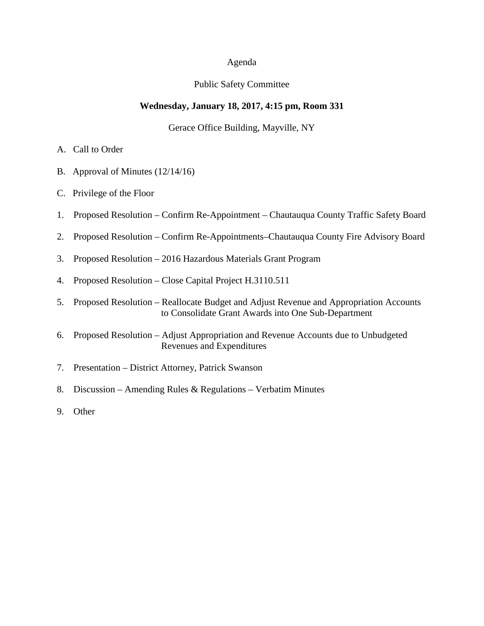### Agenda

#### Public Safety Committee

### **Wednesday, January 18, 2017, 4:15 pm, Room 331**

#### Gerace Office Building, Mayville, NY

- A. Call to Order
- B. Approval of Minutes (12/14/16)
- C. Privilege of the Floor
- 1. Proposed Resolution Confirm Re-Appointment Chautauqua County Traffic Safety Board
- 2. Proposed Resolution Confirm Re-Appointments–Chautauqua County Fire Advisory Board
- 3. Proposed Resolution 2016 Hazardous Materials Grant Program
- 4. Proposed Resolution Close Capital Project H.3110.511
- 5. Proposed Resolution Reallocate Budget and Adjust Revenue and Appropriation Accounts to Consolidate Grant Awards into One Sub-Department
- 6. Proposed Resolution Adjust Appropriation and Revenue Accounts due to Unbudgeted Revenues and Expenditures
- 7. Presentation District Attorney, Patrick Swanson
- 8. Discussion Amending Rules & Regulations Verbatim Minutes
- 9. Other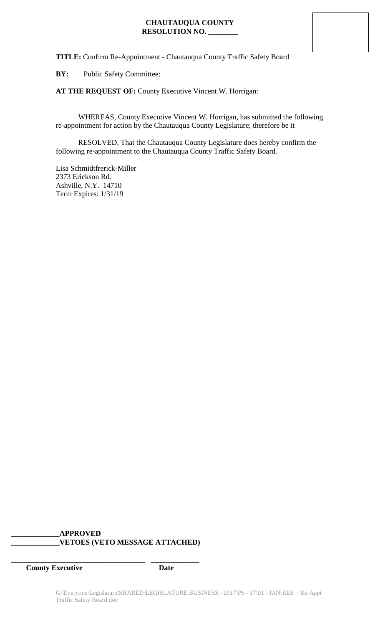**TITLE:** Confirm Re-Appointment - Chautauqua County Traffic Safety Board

**BY:** Public Safety Committee:

**AT THE REQUEST OF:** County Executive Vincent W. Horrigan:

WHEREAS, County Executive Vincent W. Horrigan, has submitted the following re-appointment for action by the Chautauqua County Legislature; therefore be it

RESOLVED, That the Chautauqua County Legislature does hereby confirm the following re-appointment to the Chautauqua County Traffic Safety Board.

Lisa Schmidtfrerick-Miller 2373 Erickson Rd. Ashville, N.Y. 14710 Term Expires: 1/31/19

## **\_\_\_\_\_\_\_\_\_\_\_\_\_APPROVED \_\_\_\_\_\_\_\_\_\_\_\_\_VETOES (VETO MESSAGE ATTACHED)**

**\_\_\_\_\_\_\_\_\_\_\_\_\_\_\_\_\_\_\_\_\_\_\_\_\_\_\_\_\_\_\_\_\_\_\_\_ \_\_\_\_\_\_\_\_\_\_\_\_\_**

**County Executive Date**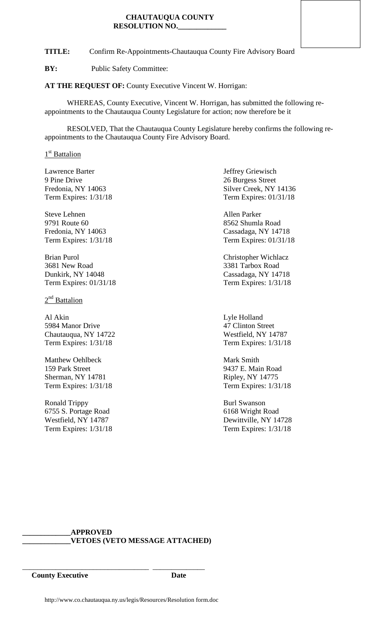**TITLE:** Confirm Re-Appointments-Chautauqua County Fire Advisory Board

**BY:** Public Safety Committee:

**AT THE REQUEST OF:** County Executive Vincent W. Horrigan:

WHEREAS, County Executive, Vincent W. Horrigan, has submitted the following reappointments to the Chautauqua County Legislature for action; now therefore be it

RESOLVED, That the Chautauqua County Legislature hereby confirms the following reappointments to the Chautauqua County Fire Advisory Board.

1<sup>st</sup> Battalion

Lawrence Barter **Internal Contract Contract Contract Contract Contract Contract Contract Contract Contract Contract Contract Contract Contract Contract Contract Contract Contract Contract Contract Contract Contract Contrac** 9 Pine Drive 26 Burgess Street Term Expires: 1/31/18 Term Expires: 01/31/18

Steve Lehnen Allen Parker 9791 Route 60 8562 Shumla Road Fredonia, NY 14063 Cassadaga, NY 14718

Brian Purol **Christopher Wichlacz** 3681 New Road 3381 Tarbox Road Dunkirk, NY 14048 Cassadaga, NY 14718 Term Expires: 01/31/18 Term Expires: 1/31/18

 $2<sup>nd</sup>$  Battalion

Al Akin Lyle Holland 5984 Manor Drive 47 Clinton Street Chautauqua, NY 14722 Westfield, NY 14787 Term Expires: 1/31/18 Term Expires: 1/31/18

Matthew Oehlbeck Mark Smith 159 Park Street 9437 E. Main Road Sherman, NY 14781 Ripley, NY 14775

Ronald Trippy Burl Swanson 6755 S. Portage Road 6168 Wright Road 6168 Wright Road 6168 Wright Road 6168 Wright Road 6168 Wright Road 6168 Wright Road 6168 Wright Road 6168 Wright Road 6168 Wright Road 6168 Wright Road 6168 Wright Road 6168 Wright Ro

Fredonia, NY 14063 Silver Creek, NY 14136

Term Expires: 1/31/18 Term Expires: 01/31/18

Term Expires: 1/31/18 Term Expires: 1/31/18

Dewittville, NY 14728 Term Expires: 1/31/18 Term Expires: 1/31/18

## **\_\_\_\_\_\_\_\_\_\_\_\_\_APPROVED \_\_\_\_\_\_\_\_\_\_\_\_\_VETOES (VETO MESSAGE ATTACHED)**

\_\_\_\_\_\_\_\_\_\_\_\_\_\_\_\_\_\_\_\_\_\_\_\_\_\_\_\_\_\_\_\_\_\_ \_\_\_\_\_\_\_\_\_\_\_\_\_\_ **County Executive Date**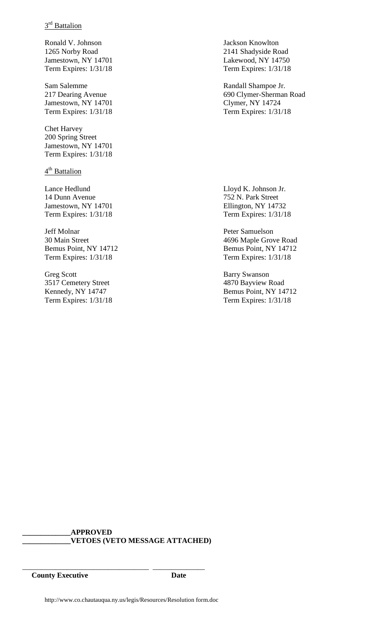# 3<sup>rd</sup> Battalion

Ronald V. Johnson Jackson Knowlton 1265 Norby Road 2141 Shadyside Road Jamestown, NY 14701 Lakewood, NY 14750 Term Expires: 1/31/18 Term Expires: 1/31/18

Jamestown, NY 14701 Clymer, NY 14724 Term Expires: 1/31/18 Term Expires: 1/31/18

Chet Harvey 200 Spring Street Jamestown, NY 14701 Term Expires: 1/31/18

4<sup>th</sup> Battalion

Lance Hedlund Lloyd K. Johnson Jr. 14 Dunn Avenue 752 N. Park Street Jamestown, NY 14701 Ellington, NY 14732 Term Expires: 1/31/18 Term Expires: 1/31/18

Jeff Molnar Peter Samuelson Term Expires: 1/31/18 Term Expires: 1/31/18

Greg Scott Barry Swanson 3517 Cemetery Street 4870 Bayview Road

Sam Salemme Randall Shampoe Jr. 217 Dearing Avenue 690 Clymer-Sherman Road

30 Main Street 4696 Maple Grove Road Bemus Point, NY 14712 Bemus Point, NY 14712

Kennedy, NY 14747 Bemus Point, NY 14712 Term Expires: 1/31/18 Term Expires: 1/31/18

**\_\_\_\_\_\_\_\_\_\_\_\_\_APPROVED \_\_\_\_\_\_\_\_\_\_\_\_\_VETOES (VETO MESSAGE ATTACHED)**

**County Executive Date**

\_\_\_\_\_\_\_\_\_\_\_\_\_\_\_\_\_\_\_\_\_\_\_\_\_\_\_\_\_\_\_\_\_\_ \_\_\_\_\_\_\_\_\_\_\_\_\_\_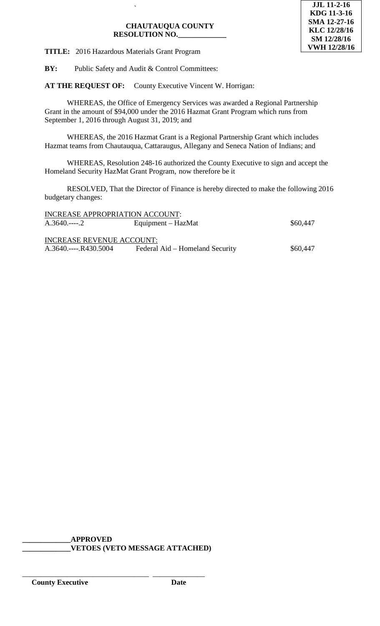

**TITLE:** 2016 Hazardous Materials Grant Program

**BY:** Public Safety and Audit & Control Committees:

`

**AT THE REQUEST OF:** County Executive Vincent W. Horrigan:

WHEREAS, the Office of Emergency Services was awarded a Regional Partnership Grant in the amount of \$94,000 under the 2016 Hazmat Grant Program which runs from September 1, 2016 through August 31, 2019; and

WHEREAS, the 2016 Hazmat Grant is a Regional Partnership Grant which includes Hazmat teams from Chautauqua, Cattaraugus, Allegany and Seneca Nation of Indians; and

WHEREAS, Resolution 248-16 authorized the County Executive to sign and accept the Homeland Security HazMat Grant Program, now therefore be it

RESOLVED, That the Director of Finance is hereby directed to make the following 2016 budgetary changes:

| INCREASE APPROPRIATION ACCOUNT:  |          |
|----------------------------------|----------|
| Equipment – HazMat               | \$60,447 |
|                                  |          |
| <b>INCREASE REVENUE ACCOUNT:</b> |          |
| Federal Aid – Homeland Security  | \$60,447 |
|                                  |          |

**\_\_\_\_\_\_\_\_\_\_\_\_\_APPROVED \_\_\_\_\_\_\_\_\_\_\_\_\_VETOES (VETO MESSAGE ATTACHED)**

\_\_\_\_\_\_\_\_\_\_\_\_\_\_\_\_\_\_\_\_\_\_\_\_\_\_\_\_\_\_\_\_\_\_ \_\_\_\_\_\_\_\_\_\_\_\_\_\_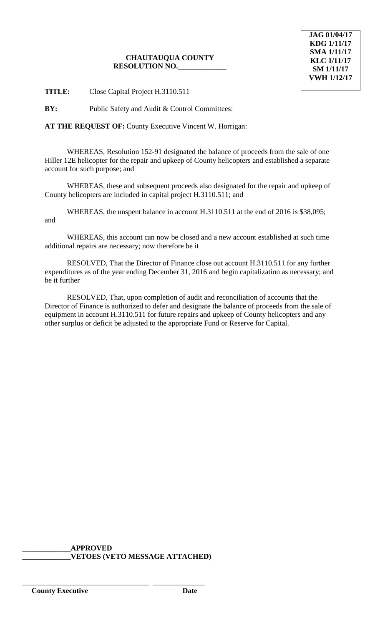**TITLE:** Close Capital Project H.3110.511

**BY:** Public Safety and Audit & Control Committees:

**AT THE REQUEST OF:** County Executive Vincent W. Horrigan:

WHEREAS, Resolution 152-91 designated the balance of proceeds from the sale of one Hiller 12E helicopter for the repair and upkeep of County helicopters and established a separate account for such purpose; and

WHEREAS, these and subsequent proceeds also designated for the repair and upkeep of County helicopters are included in capital project H.3110.511; and

WHEREAS, the unspent balance in account H.3110.511 at the end of 2016 is \$38,095; and

WHEREAS, this account can now be closed and a new account established at such time additional repairs are necessary; now therefore be it

RESOLVED, That the Director of Finance close out account H.3110.511 for any further expenditures as of the year ending December 31, 2016 and begin capitalization as necessary; and be it further

RESOLVED, That, upon completion of audit and reconciliation of accounts that the Director of Finance is authorized to defer and designate the balance of proceeds from the sale of equipment in account H.3110.511 for future repairs and upkeep of County helicopters and any other surplus or deficit be adjusted to the appropriate Fund or Reserve for Capital.

**\_\_\_\_\_\_\_\_\_\_\_\_\_APPROVED \_\_\_\_\_\_\_\_\_\_\_\_\_VETOES (VETO MESSAGE ATTACHED)**

\_\_\_\_\_\_\_\_\_\_\_\_\_\_\_\_\_\_\_\_\_\_\_\_\_\_\_\_\_\_\_\_\_\_ \_\_\_\_\_\_\_\_\_\_\_\_\_\_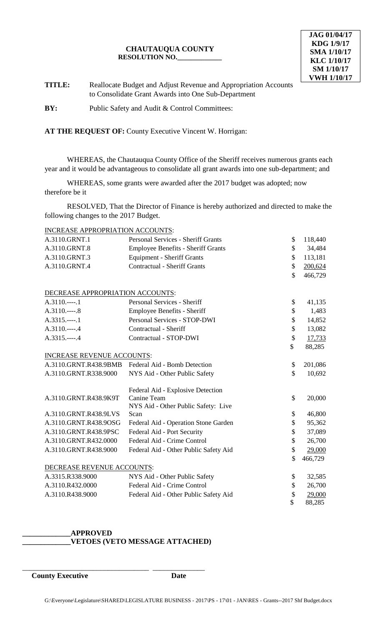**TITLE:** Reallocate Budget and Adjust Revenue and Appropriation Accounts to Consolidate Grant Awards into One Sub-Department

**BY:** Public Safety and Audit & Control Committees:

**AT THE REQUEST OF:** County Executive Vincent W. Horrigan:

WHEREAS, the Chautauqua County Office of the Sheriff receives numerous grants each year and it would be advantageous to consolidate all grant awards into one sub-department; and

WHEREAS, some grants were awarded after the 2017 budget was adopted; now therefore be it

RESOLVED, That the Director of Finance is hereby authorized and directed to make the following changes to the 2017 Budget.

INCREASE APPROPRIATION ACCOUNTS:

| A.3110.GRNT.1                     | Personal Services - Sheriff Grants        | \$                 | 118,440 |
|-----------------------------------|-------------------------------------------|--------------------|---------|
| A.3110.GRNT.8                     | <b>Employee Benefits - Sheriff Grants</b> | \$                 | 34,484  |
| A.3110.GRNT.3                     | <b>Equipment - Sheriff Grants</b>         | \$                 | 113,181 |
| A.3110.GRNT.4                     | <b>Contractual - Sheriff Grants</b>       | \$                 | 200,624 |
|                                   |                                           | $\mathbf{\hat{S}}$ | 466,729 |
| DECREASE APPROPRIATION ACCOUNTS:  |                                           |                    |         |
| $A.3110.---.1$                    | Personal Services - Sheriff               | \$                 | 41,135  |
| $A.3110---8$                      | <b>Employee Benefits - Sheriff</b>        | \$                 | 1,483   |
| $A.3315.---1$                     | Personal Services - STOP-DWI              | \$                 | 14,852  |
| $A.3110---.4$                     | Contractual - Sheriff                     | $\mathsf{\$}$      | 13,082  |
| A.3315.----.4                     | Contractual - STOP-DWI                    | \$                 | 17,733  |
|                                   |                                           | $\mathsf{\$}$      | 88,285  |
| <b>INCREASE REVENUE ACCOUNTS:</b> |                                           |                    |         |
| A.3110.GRNT.R438.9BMB             | Federal Aid - Bomb Detection              | \$                 | 201,086 |
| A.3110.GRNT.R338.9000             | NYS Aid - Other Public Safety             | \$                 | 10,692  |
|                                   | Federal Aid - Explosive Detection         |                    |         |
| A.3110.GRNT.R438.9K9T             | Canine Team                               | \$                 | 20,000  |
|                                   | NYS Aid - Other Public Safety: Live       |                    |         |
| A.3110.GRNT.R438.9LVS             | Scan                                      | \$                 | 46,800  |
| A.3110.GRNT.R438.9OSG             | Federal Aid - Operation Stone Garden      | \$                 | 95,362  |
| A.3110.GRNT.R438.9PSC             | Federal Aid - Port Security               | \$                 | 37,089  |
| A.3110.GRNT.R432.0000             | Federal Aid - Crime Control               | \$                 | 26,700  |
| A.3110.GRNT.R438.9000             | Federal Aid - Other Public Safety Aid     | \$                 | 29,000  |
|                                   |                                           | \$                 | 466,729 |
| DECREASE REVENUE ACCOUNTS:        |                                           |                    |         |
| A.3315.R338.9000                  | NYS Aid - Other Public Safety             | \$                 | 32,585  |
| A.3110.R432.0000                  | Federal Aid - Crime Control               | \$                 | 26,700  |
| A.3110.R438.9000                  | Federal Aid - Other Public Safety Aid     | \$                 | 29,000  |
|                                   |                                           | \$                 | 88,285  |

### **\_\_\_\_\_\_\_\_\_\_\_\_\_APPROVED \_\_\_\_\_\_\_\_\_\_\_\_\_VETOES (VETO MESSAGE ATTACHED)**

\_\_\_\_\_\_\_\_\_\_\_\_\_\_\_\_\_\_\_\_\_\_\_\_\_\_\_\_\_\_\_\_\_\_ \_\_\_\_\_\_\_\_\_\_\_\_\_\_

**County Executive Date**